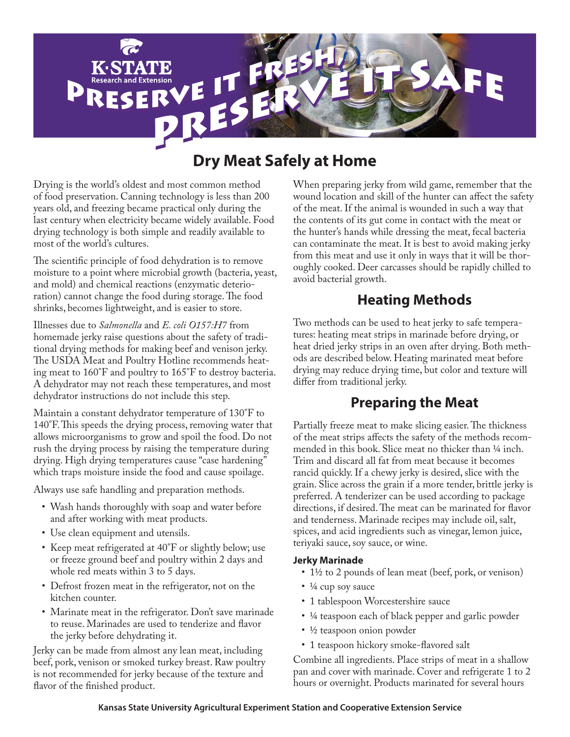

# **Dry Meat Safely at Home**

Drying is the world's oldest and most common method of food preservation. Canning technology is less than 200 years old, and freezing became practical only during the last century when electricity became widely available. Food drying technology is both simple and readily available to most of the world's cultures.

The scientific principle of food dehydration is to remove moisture to a point where microbial growth (bacteria, yeast, and mold) and chemical reactions (enzymatic deterioration) cannot change the food during storage. The food shrinks, becomes lightweight, and is easier to store.

Illnesses due to *Salmonella* and *E. coli O157:H7* from homemade jerky raise questions about the safety of traditional drying methods for making beef and venison jerky. The USDA Meat and Poultry Hotline recommends heating meat to 160°F and poultry to 165°F to destroy bacteria. A dehydrator may not reach these temperatures, and most dehydrator instructions do not include this step.

Maintain a constant dehydrator temperature of 130°F to 140°F. This speeds the drying process, removing water that allows microorganisms to grow and spoil the food. Do not rush the drying process by raising the temperature during drying. High drying temperatures cause "case hardening" which traps moisture inside the food and cause spoilage.

Always use safe handling and preparation methods.

- Wash hands thoroughly with soap and water before and after working with meat products.
- Use clean equipment and utensils.
- Keep meat refrigerated at 40°F or slightly below; use or freeze ground beef and poultry within 2 days and whole red meats within 3 to 5 days.
- Defrost frozen meat in the refrigerator, not on the kitchen counter.
- Marinate meat in the refrigerator. Don't save marinade to reuse. Marinades are used to tenderize and flavor the jerky before dehydrating it.

Jerky can be made from almost any lean meat, including beef, pork, venison or smoked turkey breast. Raw poultry is not recommended for jerky because of the texture and flavor of the finished product.

When preparing jerky from wild game, remember that the wound location and skill of the hunter can affect the safety of the meat. If the animal is wounded in such a way that the contents of its gut come in contact with the meat or the hunter's hands while dressing the meat, fecal bacteria can contaminate the meat. It is best to avoid making jerky from this meat and use it only in ways that it will be thoroughly cooked. Deer carcasses should be rapidly chilled to avoid bacterial growth.

# **Heating Methods**

Two methods can be used to heat jerky to safe temperatures: heating meat strips in marinade before drying, or heat dried jerky strips in an oven after drying. Both methods are described below. Heating marinated meat before drying may reduce drying time, but color and texture will differ from traditional jerky.

# **Preparing the Meat**

Partially freeze meat to make slicing easier. The thickness of the meat strips affects the safety of the methods recommended in this book. Slice meat no thicker than  $\frac{1}{4}$  inch. Trim and discard all fat from meat because it becomes rancid quickly. If a chewy jerky is desired, slice with the grain. Slice across the grain if a more tender, brittle jerky is preferred. A tenderizer can be used according to package directions, if desired. The meat can be marinated for flavor and tenderness. Marinade recipes may include oil, salt, spices, and acid ingredients such as vinegar, lemon juice, teriyaki sauce, soy sauce, or wine.

### **Jerky Marinade**

- 1½ to 2 pounds of lean meat (beef, pork, or venison)
- $\cdot$   $\frac{1}{4}$  cup soy sauce
- 1 tablespoon Worcestershire sauce
- 4 teaspoon each of black pepper and garlic powder
- ½ teaspoon onion powder
- 1 teaspoon hickory smoke-flavored salt

Combine all ingredients. Place strips of meat in a shallow pan and cover with marinade. Cover and refrigerate 1 to 2 hours or overnight. Products marinated for several hours